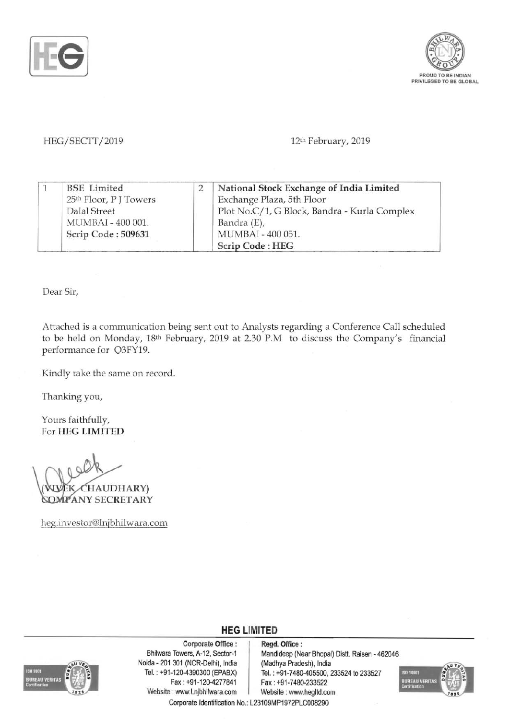



HEG/SECTT/2019 **12th February, 2019** 

|  | <b>BSE</b> Limited                 | National Stock Exchange of India Limited     |
|--|------------------------------------|----------------------------------------------|
|  | 25 <sup>th</sup> Floor, P J Towers | Exchange Plaza, 5th Floor                    |
|  | Dalal Street                       | Plot No.C/1, G Block, Bandra - Kurla Complex |
|  | MUMBAI - 400 001.                  | Bandra (E),                                  |
|  | Scrip Code: 509631                 | MUMBAI - 400 051.                            |
|  |                                    | Scrip Code: HEG                              |

Dear Sir,

Attached is a communication being sent out to Analysts regarding a Conference Call scheduled to be held on Monday, 18th February, 2019 at 2.30 P.M to discuss the Company's financial performance for Q3FY19.

Kindly take the same on record.

Thanking you,

Yours faithfully, For HEG LIMITED

(VUVEK CHAUDHARY)<br>'SOMP'ANY SECRETARY

heg.investor@lnjbhilwara.com



Corporate Office: Regd. Office:<br>Bhilwara Towers, A-12, Sector-1 Mandideep (Ne Noida - 201 301 (NCR-Delhi), India (Madhya Pradesh), India<br>Tel.: +91-120-4390300 (EPABX) Tel.: +91-7480-405500, 2 Fax: +91-120-4277841 Fax: +91-7480-233522 Website : www.Lnjbhilwara.com | Website : www.hegltd.com

Mandideep (Near Bhopal) Distt. Raisen - 462046 Tel.: +91-7480-405500, 233524 to 233527



Corporate Identification No.: L23109MP1972PLC008290

**HEG LIMITED**